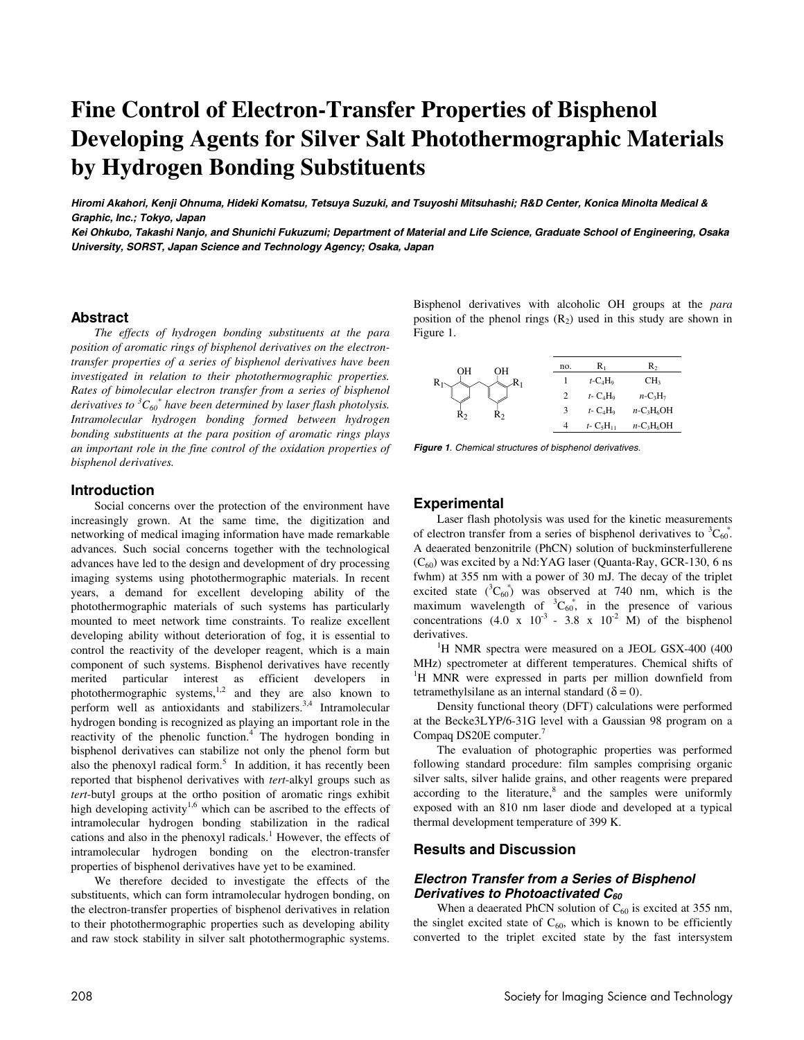# **Fine Control of Electron-Transfer Properties of Bisphenol Developing Agents for Silver Salt Photothermographic Materials by Hydrogen Bonding Substituents**

**Hiromi Akahori, Kenji Ohnuma, Hideki Komatsu, Tetsuya Suzuki, and Tsuyoshi Mitsuhashi; R&D Center, Konica Minolta Medical & Graphic, Inc.; Tokyo, Japan** 

**Kei Ohkubo, Takashi Nanjo, and Shunichi Fukuzumi; Department of Material and Life Science, Graduate School of Engineering, Osaka University, SORST, Japan Science and Technology Agency; Osaka, Japan** 

## **Abstract**

*The effects of hydrogen bonding substituents at the para position of aromatic rings of bisphenol derivatives on the electrontransfer properties of a series of bisphenol derivatives have been investigated in relation to their photothermographic properties. Rates of bimolecular electron transfer from a series of bisphenol*  derivatives to <sup>3</sup> $C_{60}^*$  have been determined by laser flash photolysis. *Intramolecular hydrogen bonding formed between hydrogen bonding substituents at the para position of aromatic rings plays an important role in the fine control of the oxidation properties of bisphenol derivatives.* 

# **Introduction**

Social concerns over the protection of the environment have increasingly grown. At the same time, the digitization and networking of medical imaging information have made remarkable advances. Such social concerns together with the technological advances have led to the design and development of dry processing imaging systems using photothermographic materials. In recent years, a demand for excellent developing ability of the photothermographic materials of such systems has particularly mounted to meet network time constraints. To realize excellent developing ability without deterioration of fog, it is essential to control the reactivity of the developer reagent, which is a main component of such systems. Bisphenol derivatives have recently merited particular interest as efficient developers in photothermographic systems, $\frac{1}{2}$  and they are also known to perform well as antioxidants and stabilizers.3,4 Intramolecular hydrogen bonding is recognized as playing an important role in the reactivity of the phenolic function.<sup>4</sup> The hydrogen bonding in bisphenol derivatives can stabilize not only the phenol form but also the phenoxyl radical form.<sup>5</sup> In addition, it has recently been reported that bisphenol derivatives with *tert*-alkyl groups such as *tert*-butyl groups at the ortho position of aromatic rings exhibit high developing activity<sup>1,6</sup> which can be ascribed to the effects of intramolecular hydrogen bonding stabilization in the radical cations and also in the phenoxyl radicals.<sup>1</sup> However, the effects of intramolecular hydrogen bonding on the electron-transfer properties of bisphenol derivatives have yet to be examined.

We therefore decided to investigate the effects of the substituents, which can form intramolecular hydrogen bonding, on the electron-transfer properties of bisphenol derivatives in relation to their photothermographic properties such as developing ability and raw stock stability in silver salt photothermographic systems. Bisphenol derivatives with alcoholic OH groups at the *para* position of the phenol rings  $(R_2)$  used in this study are shown in Figure 1.

| OН<br>OН | no. | R,                                   | R,                                    |
|----------|-----|--------------------------------------|---------------------------------------|
|          |     | $t$ -C <sub>4</sub> H <sub>9</sub>   | CH <sub>3</sub>                       |
|          |     | $t$ - $C_4H_9$                       | $n-C_3H_7$                            |
| R٥<br>R٥ | 3   | $t$ - $C_4H_9$                       | $n$ -C <sub>3</sub> H <sub>6</sub> OH |
|          | 4   | $t$ - C <sub>5</sub> H <sub>11</sub> | $n$ -C <sub>3</sub> H <sub>6</sub> OH |

**Figure 1**. Chemical structures of bisphenol derivatives.

# **Experimental**

Laser flash photolysis was used for the kinetic measurements of electron transfer from a series of bisphenol derivatives to  ${}^{3}C_{60}$ . A deaerated benzonitrile (PhCN) solution of buckminsterfullerene  $(C_{60})$  was excited by a Nd:YAG laser (Quanta-Ray, GCR-130, 6 ns fwhm) at 355 nm with a power of 30 mJ. The decay of the triplet excited state  $({}^3C_{60})$  was observed at 740 nm, which is the maximum wavelength of  ${}^3C_{60}^*$ , in the presence of various concentrations  $(4.0 \times 10^{-3} - 3.8 \times 10^{-2} \text{ M})$  of the bisphenol derivatives.

<sup>1</sup>H NMR spectra were measured on a JEOL GSX-400 (400) MHz) spectrometer at different temperatures. Chemical shifts of <sup>1</sup>H MNR were expressed in parts per million downfield from tetramethylsilane as an internal standard ( $\delta = 0$ ).

Density functional theory (DFT) calculations were performed at the Becke3LYP/6-31G level with a Gaussian 98 program on a Compaq DS20E computer.<sup>7</sup>

The evaluation of photographic properties was performed following standard procedure: film samples comprising organic silver salts, silver halide grains, and other reagents were prepared according to the literature, $8$  and the samples were uniformly exposed with an 810 nm laser diode and developed at a typical thermal development temperature of 399 K.

# **Results and Discussion**

## **Electron Transfer from a Series of Bisphenol Derivatives to Photoactivated C<sub>60</sub>**

When a deaerated PhCN solution of  $C_{60}$  is excited at 355 nm, the singlet excited state of  $C_{60}$ , which is known to be efficiently converted to the triplet excited state by the fast intersystem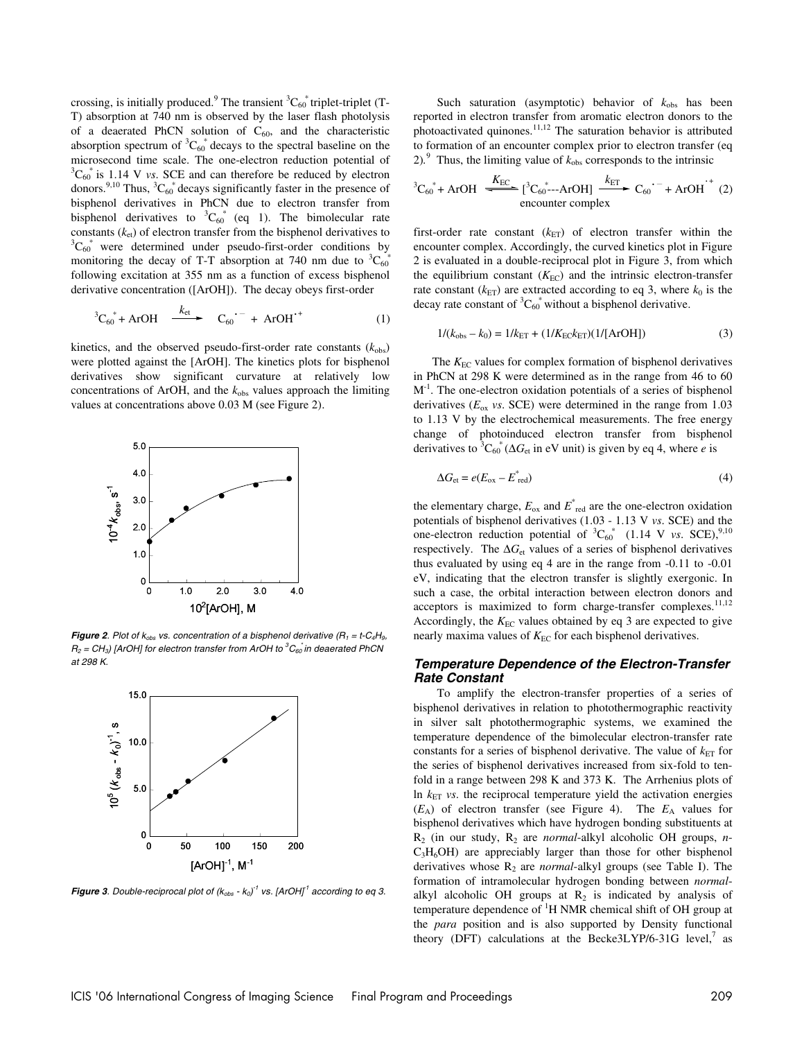crossing, is initially produced.<sup>9</sup> The transient  ${}^3C_{60}^*$  triplet-triplet (T-T) absorption at 740 nm is observed by the laser flash photolysis of a deaerated PhCN solution of  $C_{60}$ , and the characteristic absorption spectrum of  ${}^{3}C_{60}^{*}$  decays to the spectral baseline on the microsecond time scale. The one-electron reduction potential of  ${}^3C_{60}^*$  is 1.14 V *vs*. SCE and can therefore be reduced by electron donors.<sup>9,10</sup> Thus,  ${}^3C_{60}$ <sup>\*</sup> decays significantly faster in the presence of bisphenol derivatives in PhCN due to electron transfer from bisphenol derivatives to  ${}^3C_{60}^*$  (eq 1). The bimolecular rate constants  $(k<sub>et</sub>)$  of electron transfer from the bisphenol derivatives to  $C_{60}^*$  were determined under pseudo-first-order conditions by monitoring the decay of T-T absorption at 740 nm due to  ${}^{3}C_{60}^{*}$ following excitation at 355 nm as a function of excess bisphenol derivative concentration ([ArOH]). The decay obeys first-order

$$
{}^{3}C_{60}^* + ArOH \xrightarrow{k_{et}} C_{60}^- + ArOH^{*+} \tag{1}
$$

kinetics, and the observed pseudo-first-order rate constants  $(k_{obs})$ were plotted against the [ArOH]. The kinetics plots for bisphenol derivatives show significant curvature at relatively low concentrations of ArOH, and the  $k_{obs}$  values approach the limiting values at concentrations above 0.03 M (see Figure 2).



**Figure 2.** Plot of  $k_{obs}$  vs. concentration of a bisphenol derivative ( $R_1 = t$ -C<sub>4</sub>H<sub>9</sub>,  $R_2$  = CH<sub>3</sub>) [ArOH] for electron transfer from ArOH to  ${}^3C_{60}$  in deaerated PhCN at 298 K.



**Figure 3**. Double-reciprocal plot of  $(k_{obs} - k_0)^{-1}$  vs. [ArOH]<sup>1</sup> according to eq 3.

Such saturation (asymptotic) behavior of  $k_{obs}$  has been reported in electron transfer from aromatic electron donors to the photoactivated quinones.<sup>11,12</sup> The saturation behavior is attributed to formation of an encounter complex prior to electron transfer (eq 2).<sup>9</sup> Thus, the limiting value of  $k_{obs}$  corresponds to the intrinsic

$$
{}^{3}C_{60}^* + ArOH \xrightarrow{K_{EC}} [{}^{3}C_{60}^{*}--ArOH] \xrightarrow{k_{ET}} C_{60}^{\bullet} + ArOH \atop
$$
encounter complex (2)

first-order rate constant  $(k_{ET})$  of electron transfer within the encounter complex. Accordingly, the curved kinetics plot in Figure 2 is evaluated in a double-reciprocal plot in Figure 3, from which the equilibrium constant  $(K_{EC})$  and the intrinsic electron-transfer rate constant  $(k_{ET})$  are extracted according to eq 3, where  $k_0$  is the decay rate constant of  ${}^3C_{60}^*$  without a bisphenol derivative.

$$
1/(k_{\text{obs}} - k_0) = 1/k_{\text{ET}} + (1/K_{\text{EC}}k_{\text{ET}})(1/[\text{ArOH}])
$$
\n(3)

The *K*<sub>EC</sub> values for complex formation of bisphenol derivatives in PhCN at 298 K were determined as in the range from 46 to 60  $M<sup>-1</sup>$ . The one-electron oxidation potentials of a series of bisphenol derivatives  $(E_{ox}$  *vs*. SCE) were determined in the range from 1.03 to 1.13 V by the electrochemical measurements. The free energy change of photoinduced electron transfer from bisphenol derivatives to <sup>3</sup> $C_{60}^*$  ( $\Delta G_{et}$  in eV unit) is given by eq 4, where *e* is

$$
\Delta G_{\text{et}} = e(E_{\text{ox}} - E_{\text{red}}^*)
$$
\n(4)

the elementary charge,  $E_{\text{ox}}$  and  $E_{\text{red}}^*$  are the one-electron oxidation potentials of bisphenol derivatives (1.03 - 1.13 V *vs*. SCE) and the one-electron reduction potential of  ${}^{3}C_{60}^{*}$  (1.14 V *vs*. SCE), <sup>9,10</sup> respectively. The ∆*G*<sub>et</sub> values of a series of bisphenol derivatives thus evaluated by using eq 4 are in the range from -0.11 to -0.01 eV, indicating that the electron transfer is slightly exergonic. In such a case, the orbital interaction between electron donors and acceptors is maximized to form charge-transfer complexes.<sup>11,12</sup> Accordingly, the  $K_{EC}$  values obtained by eq 3 are expected to give nearly maxima values of  $K_{EC}$  for each bisphenol derivatives.

#### **Temperature Dependence of the Electron-Transfer Rate Constant**

To amplify the electron-transfer properties of a series of bisphenol derivatives in relation to photothermographic reactivity in silver salt photothermographic systems, we examined the temperature dependence of the bimolecular electron-transfer rate constants for a series of bisphenol derivative. The value of  $k_{ET}$  for the series of bisphenol derivatives increased from six-fold to tenfold in a range between 298 K and 373 K. The Arrhenius plots of In  $k_{ET}$  *vs*. the reciprocal temperature yield the activation energies  $(E_A)$  of electron transfer (see Figure 4). The  $E_A$  values for bisphenol derivatives which have hydrogen bonding substituents at R2 (in our study, R2 are *normal*-alkyl alcoholic OH groups, *n*- $C<sub>3</sub>H<sub>6</sub>OH$ ) are appreciably larger than those for other bisphenol derivatives whose R<sub>2</sub> are *normal*-alkyl groups (see Table I). The formation of intramolecular hydrogen bonding between *normal*alkyl alcoholic OH groups at  $R_2$  is indicated by analysis of temperature dependence of <sup>1</sup>H NMR chemical shift of OH group at the *para* position and is also supported by Density functional theory (DFT) calculations at the Becke3LYP/6-31G level, $^7$  as